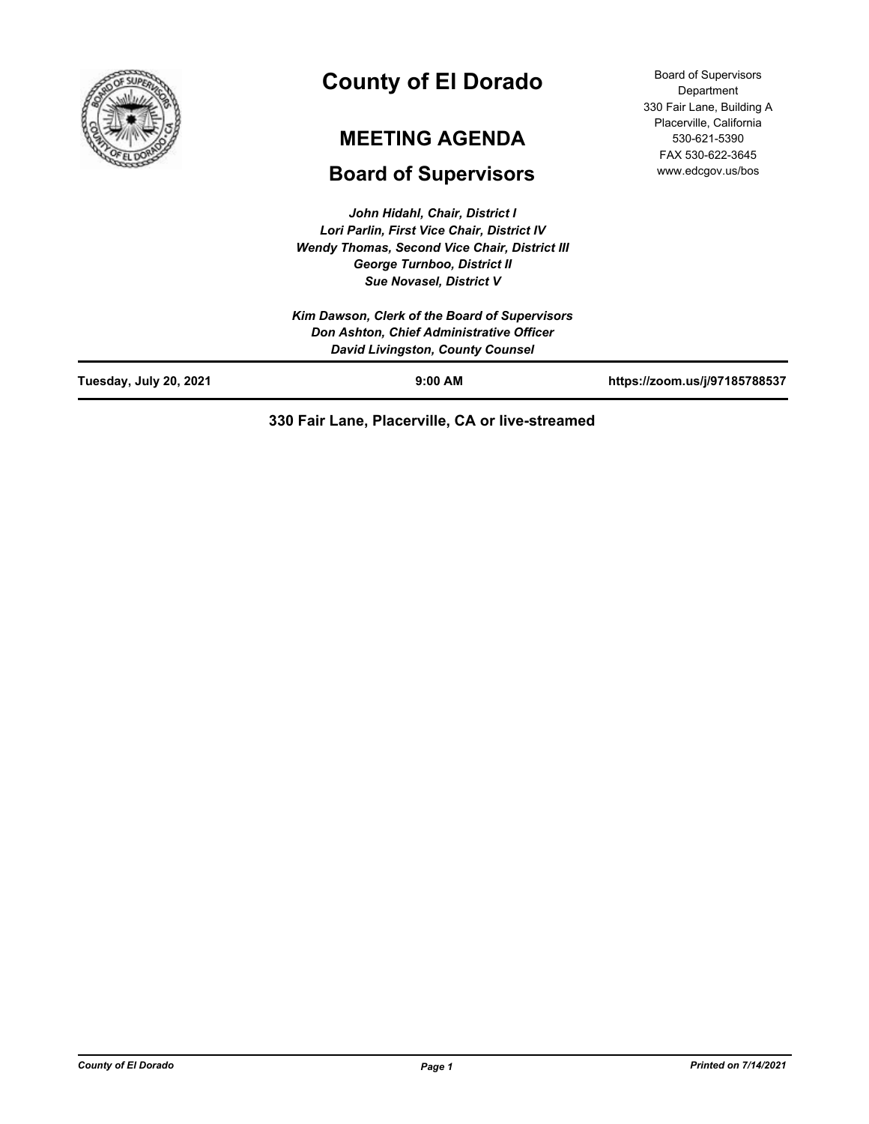

# **County of El Dorado**

# **MEETING AGENDA**

# **Board of Supervisors**

*John Hidahl, Chair, District I Lori Parlin, First Vice Chair, District IV Wendy Thomas, Second Vice Chair, District III George Turnboo, District II Sue Novasel, District V*

*Kim Dawson, Clerk of the Board of Supervisors Don Ashton, Chief Administrative Officer David Livingston, County Counsel*

**Tuesday, July 20, 2021 9:00 AM https://zoom.us/j/97185788537**

Board of Supervisors **Department** 330 Fair Lane, Building A Placerville, California 530-621-5390 FAX 530-622-3645 www.edcgov.us/bos

# **330 Fair Lane, Placerville, CA or live-streamed**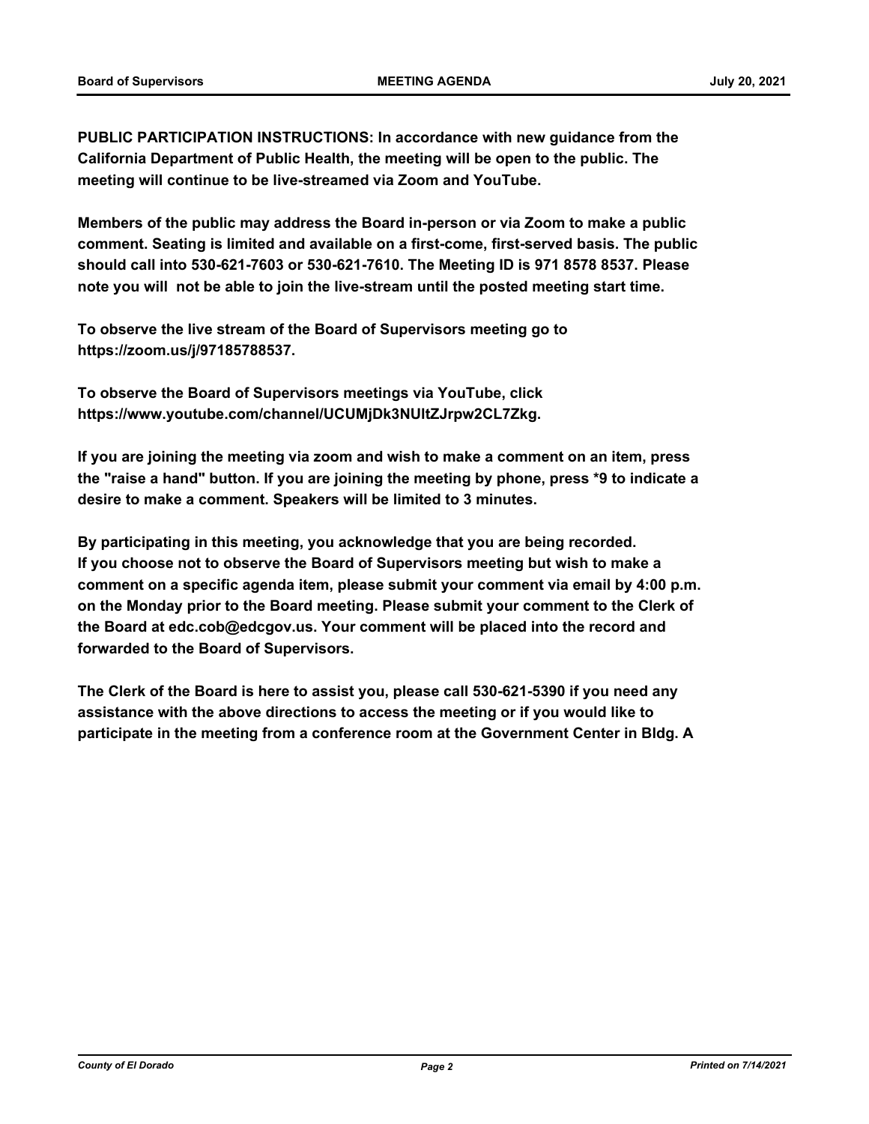**PUBLIC PARTICIPATION INSTRUCTIONS: In accordance with new guidance from the California Department of Public Health, the meeting will be open to the public. The meeting will continue to be live-streamed via Zoom and YouTube.**

**Members of the public may address the Board in-person or via Zoom to make a public comment. Seating is limited and available on a first-come, first-served basis. The public should call into 530-621-7603 or 530-621-7610. The Meeting ID is 971 8578 8537. Please note you will not be able to join the live-stream until the posted meeting start time.**

**To observe the live stream of the Board of Supervisors meeting go to https://zoom.us/j/97185788537.**

**To observe the Board of Supervisors meetings via YouTube, click https://www.youtube.com/channel/UCUMjDk3NUltZJrpw2CL7Zkg.**

**If you are joining the meeting via zoom and wish to make a comment on an item, press the "raise a hand" button. If you are joining the meeting by phone, press \*9 to indicate a desire to make a comment. Speakers will be limited to 3 minutes.**

**By participating in this meeting, you acknowledge that you are being recorded. If you choose not to observe the Board of Supervisors meeting but wish to make a comment on a specific agenda item, please submit your comment via email by 4:00 p.m. on the Monday prior to the Board meeting. Please submit your comment to the Clerk of the Board at edc.cob@edcgov.us. Your comment will be placed into the record and forwarded to the Board of Supervisors.**

**The Clerk of the Board is here to assist you, please call 530-621-5390 if you need any assistance with the above directions to access the meeting or if you would like to participate in the meeting from a conference room at the Government Center in Bldg. A**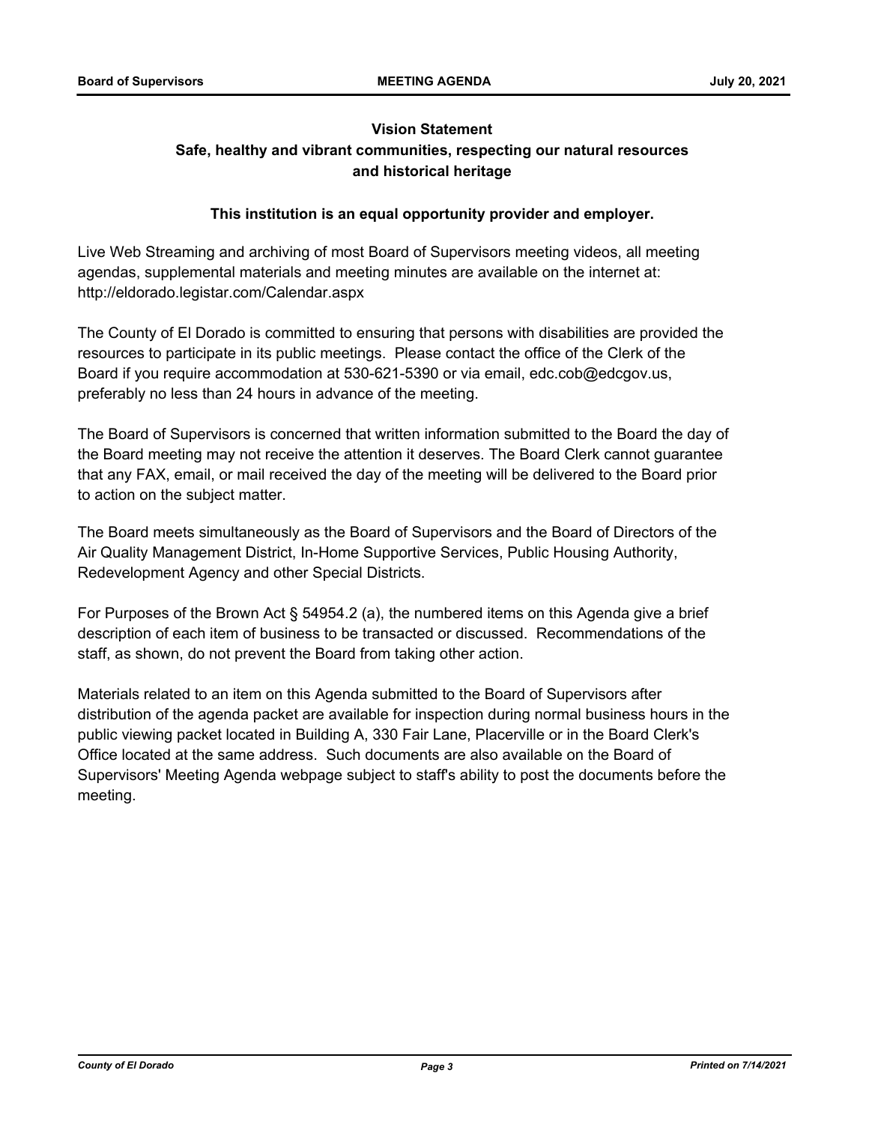# **Vision Statement Safe, healthy and vibrant communities, respecting our natural resources and historical heritage**

# **This institution is an equal opportunity provider and employer.**

Live Web Streaming and archiving of most Board of Supervisors meeting videos, all meeting agendas, supplemental materials and meeting minutes are available on the internet at: http://eldorado.legistar.com/Calendar.aspx

The County of El Dorado is committed to ensuring that persons with disabilities are provided the resources to participate in its public meetings. Please contact the office of the Clerk of the Board if you require accommodation at 530-621-5390 or via email, edc.cob@edcgov.us, preferably no less than 24 hours in advance of the meeting.

The Board of Supervisors is concerned that written information submitted to the Board the day of the Board meeting may not receive the attention it deserves. The Board Clerk cannot guarantee that any FAX, email, or mail received the day of the meeting will be delivered to the Board prior to action on the subject matter.

The Board meets simultaneously as the Board of Supervisors and the Board of Directors of the Air Quality Management District, In-Home Supportive Services, Public Housing Authority, Redevelopment Agency and other Special Districts.

For Purposes of the Brown Act § 54954.2 (a), the numbered items on this Agenda give a brief description of each item of business to be transacted or discussed. Recommendations of the staff, as shown, do not prevent the Board from taking other action.

Materials related to an item on this Agenda submitted to the Board of Supervisors after distribution of the agenda packet are available for inspection during normal business hours in the public viewing packet located in Building A, 330 Fair Lane, Placerville or in the Board Clerk's Office located at the same address. Such documents are also available on the Board of Supervisors' Meeting Agenda webpage subject to staff's ability to post the documents before the meeting.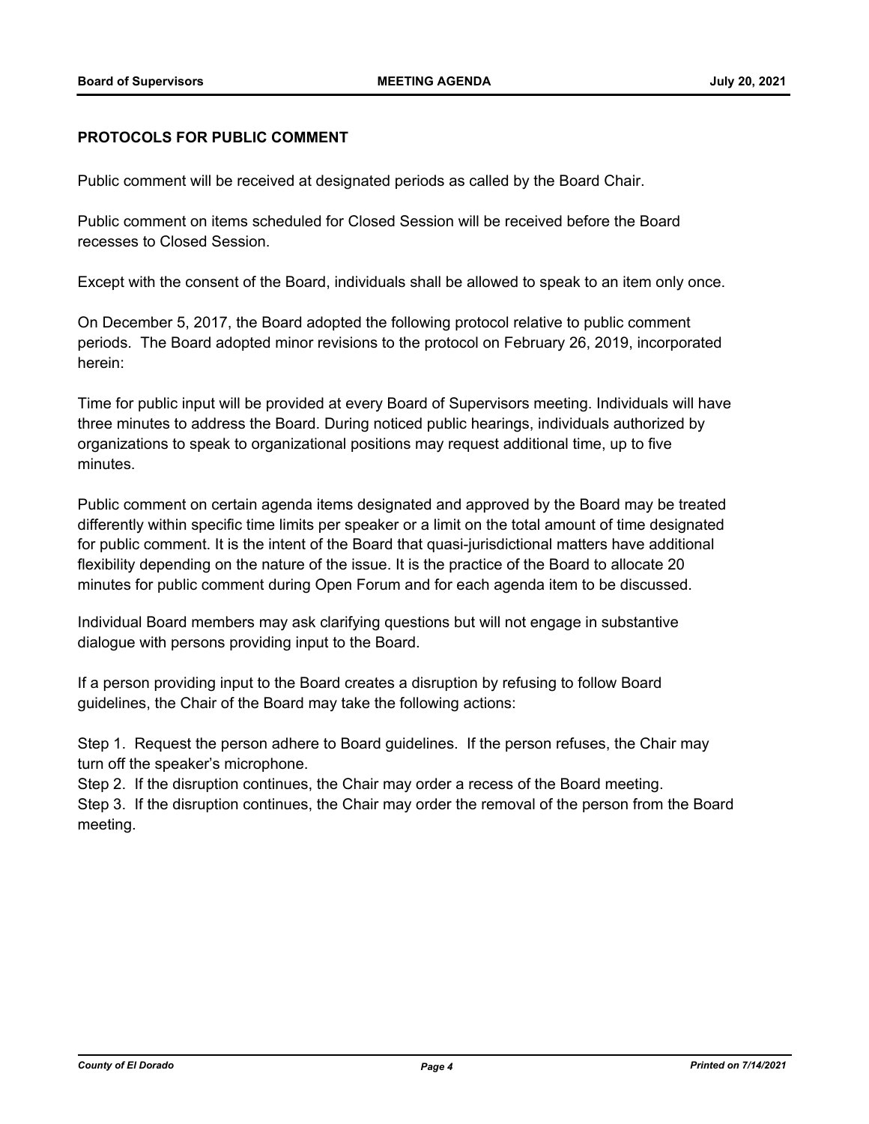#### **PROTOCOLS FOR PUBLIC COMMENT**

Public comment will be received at designated periods as called by the Board Chair.

Public comment on items scheduled for Closed Session will be received before the Board recesses to Closed Session.

Except with the consent of the Board, individuals shall be allowed to speak to an item only once.

On December 5, 2017, the Board adopted the following protocol relative to public comment periods. The Board adopted minor revisions to the protocol on February 26, 2019, incorporated herein:

Time for public input will be provided at every Board of Supervisors meeting. Individuals will have three minutes to address the Board. During noticed public hearings, individuals authorized by organizations to speak to organizational positions may request additional time, up to five minutes.

Public comment on certain agenda items designated and approved by the Board may be treated differently within specific time limits per speaker or a limit on the total amount of time designated for public comment. It is the intent of the Board that quasi-jurisdictional matters have additional flexibility depending on the nature of the issue. It is the practice of the Board to allocate 20 minutes for public comment during Open Forum and for each agenda item to be discussed.

Individual Board members may ask clarifying questions but will not engage in substantive dialogue with persons providing input to the Board.

If a person providing input to the Board creates a disruption by refusing to follow Board guidelines, the Chair of the Board may take the following actions:

Step 1. Request the person adhere to Board guidelines. If the person refuses, the Chair may turn off the speaker's microphone.

Step 2. If the disruption continues, the Chair may order a recess of the Board meeting.

Step 3. If the disruption continues, the Chair may order the removal of the person from the Board meeting.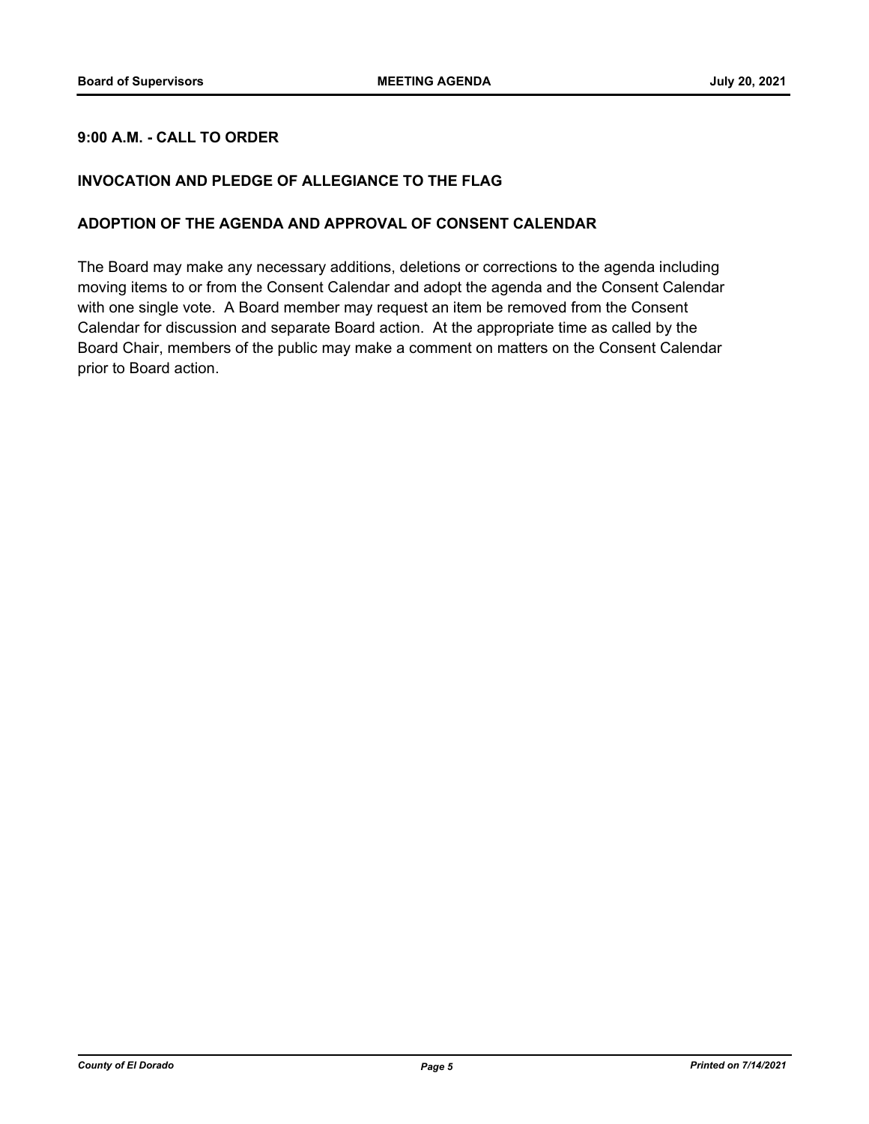# **9:00 A.M. - CALL TO ORDER**

# **INVOCATION AND PLEDGE OF ALLEGIANCE TO THE FLAG**

#### **ADOPTION OF THE AGENDA AND APPROVAL OF CONSENT CALENDAR**

The Board may make any necessary additions, deletions or corrections to the agenda including moving items to or from the Consent Calendar and adopt the agenda and the Consent Calendar with one single vote. A Board member may request an item be removed from the Consent Calendar for discussion and separate Board action. At the appropriate time as called by the Board Chair, members of the public may make a comment on matters on the Consent Calendar prior to Board action.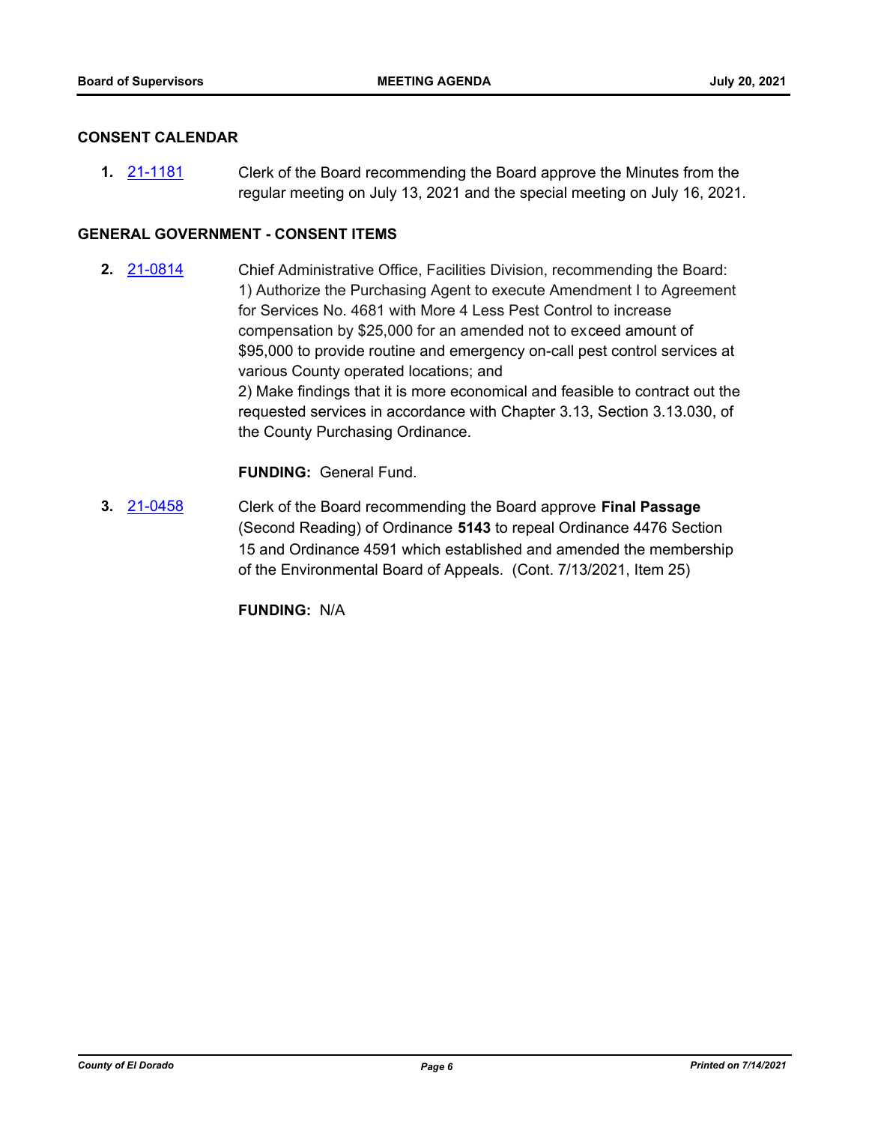#### **CONSENT CALENDAR**

**1.** [21-1181](http://eldorado.legistar.com/gateway.aspx?m=l&id=/matter.aspx?key=30076) Clerk of the Board recommending the Board approve the Minutes from the regular meeting on July 13, 2021 and the special meeting on July 16, 2021.

#### **GENERAL GOVERNMENT - CONSENT ITEMS**

**2.** [21-0814](http://eldorado.legistar.com/gateway.aspx?m=l&id=/matter.aspx?key=29709) Chief Administrative Office, Facilities Division, recommending the Board: 1) Authorize the Purchasing Agent to execute Amendment I to Agreement for Services No. 4681 with More 4 Less Pest Control to increase compensation by \$25,000 for an amended not to exceed amount of \$95,000 to provide routine and emergency on-call pest control services at various County operated locations; and 2) Make findings that it is more economical and feasible to contract out the requested services in accordance with Chapter 3.13, Section 3.13.030, of the County Purchasing Ordinance.

**FUNDING:** General Fund.

**3.** [21-0458](http://eldorado.legistar.com/gateway.aspx?m=l&id=/matter.aspx?key=29354) Clerk of the Board recommending the Board approve **Final Passage**  (Second Reading) of Ordinance **5143** to repeal Ordinance 4476 Section 15 and Ordinance 4591 which established and amended the membership of the Environmental Board of Appeals. (Cont. 7/13/2021, Item 25)

**FUNDING:** N/A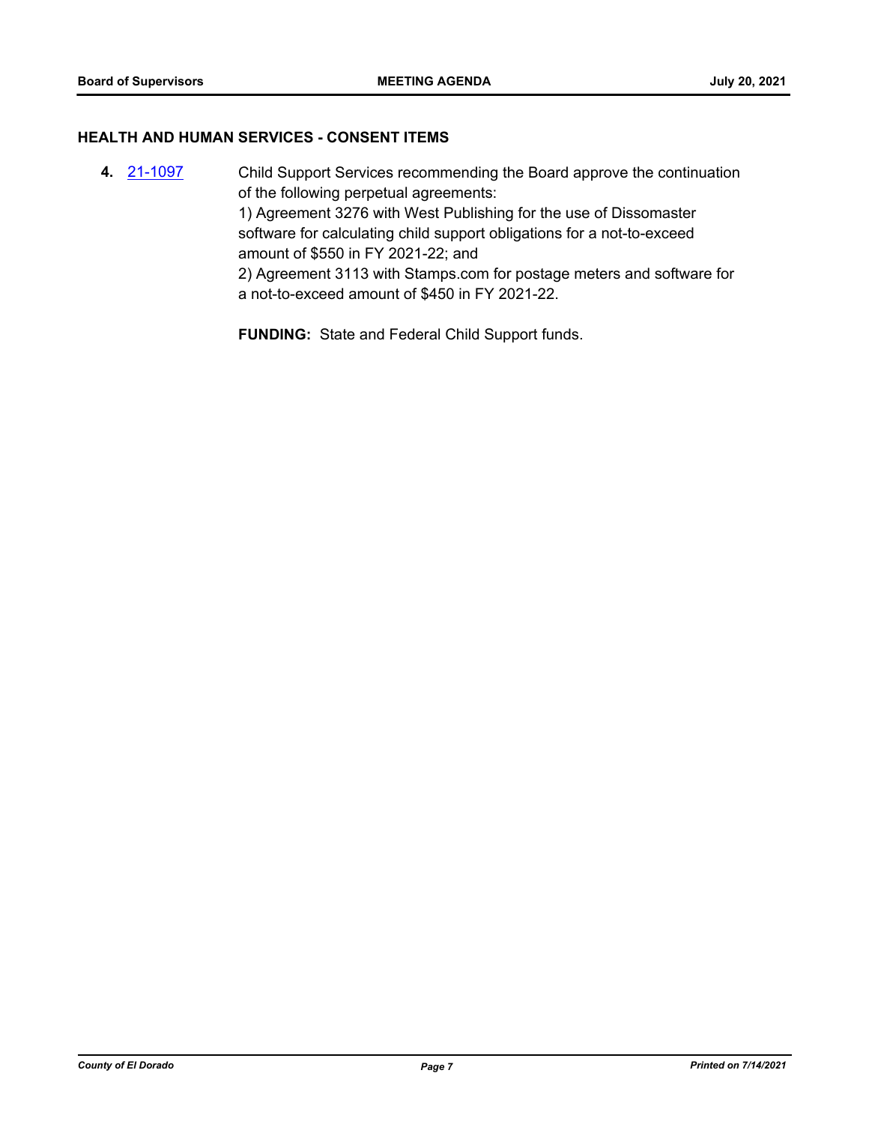#### **HEALTH AND HUMAN SERVICES - CONSENT ITEMS**

**4.** [21-1097](http://eldorado.legistar.com/gateway.aspx?m=l&id=/matter.aspx?key=29991) Child Support Services recommending the Board approve the continuation of the following perpetual agreements: 1) Agreement 3276 with West Publishing for the use of Dissomaster software for calculating child support obligations for a not-to-exceed amount of \$550 in FY 2021-22; and 2) Agreement 3113 with Stamps.com for postage meters and software for a not-to-exceed amount of \$450 in FY 2021-22.

**FUNDING:** State and Federal Child Support funds.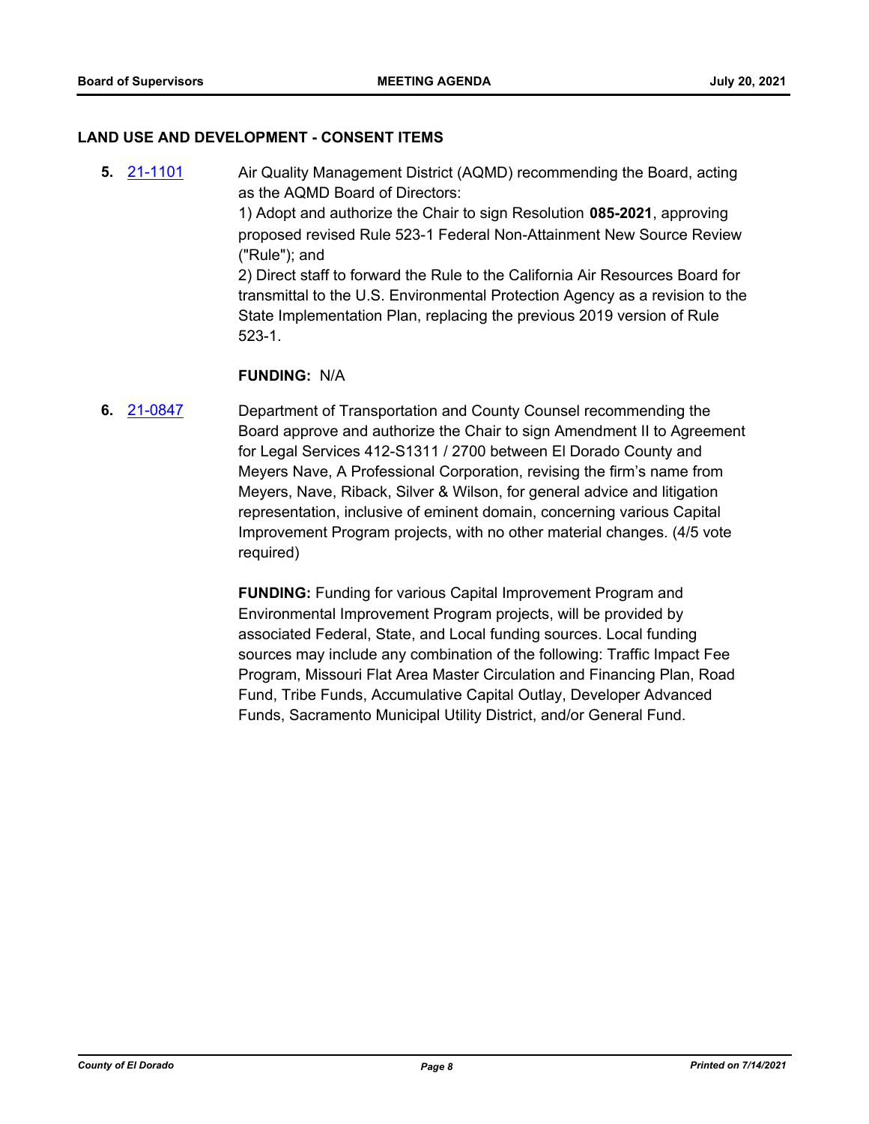#### **LAND USE AND DEVELOPMENT - CONSENT ITEMS**

**5.** [21-1101](http://eldorado.legistar.com/gateway.aspx?m=l&id=/matter.aspx?key=29996) Air Quality Management District (AQMD) recommending the Board, acting as the AQMD Board of Directors: 1) Adopt and authorize the Chair to sign Resolution **085-2021**, approving proposed revised Rule 523-1 Federal Non-Attainment New Source Review ("Rule"); and 2) Direct staff to forward the Rule to the California Air Resources Board for transmittal to the U.S. Environmental Protection Agency as a revision to the State Implementation Plan, replacing the previous 2019 version of Rule 523-1.

#### **FUNDING:** N/A

**6.** [21-0847](http://eldorado.legistar.com/gateway.aspx?m=l&id=/matter.aspx?key=29742) Department of Transportation and County Counsel recommending the Board approve and authorize the Chair to sign Amendment II to Agreement for Legal Services 412-S1311 / 2700 between El Dorado County and Meyers Nave, A Professional Corporation, revising the firm's name from Meyers, Nave, Riback, Silver & Wilson, for general advice and litigation representation, inclusive of eminent domain, concerning various Capital Improvement Program projects, with no other material changes. (4/5 vote required)

> **FUNDING:** Funding for various Capital Improvement Program and Environmental Improvement Program projects, will be provided by associated Federal, State, and Local funding sources. Local funding sources may include any combination of the following: Traffic Impact Fee Program, Missouri Flat Area Master Circulation and Financing Plan, Road Fund, Tribe Funds, Accumulative Capital Outlay, Developer Advanced Funds, Sacramento Municipal Utility District, and/or General Fund.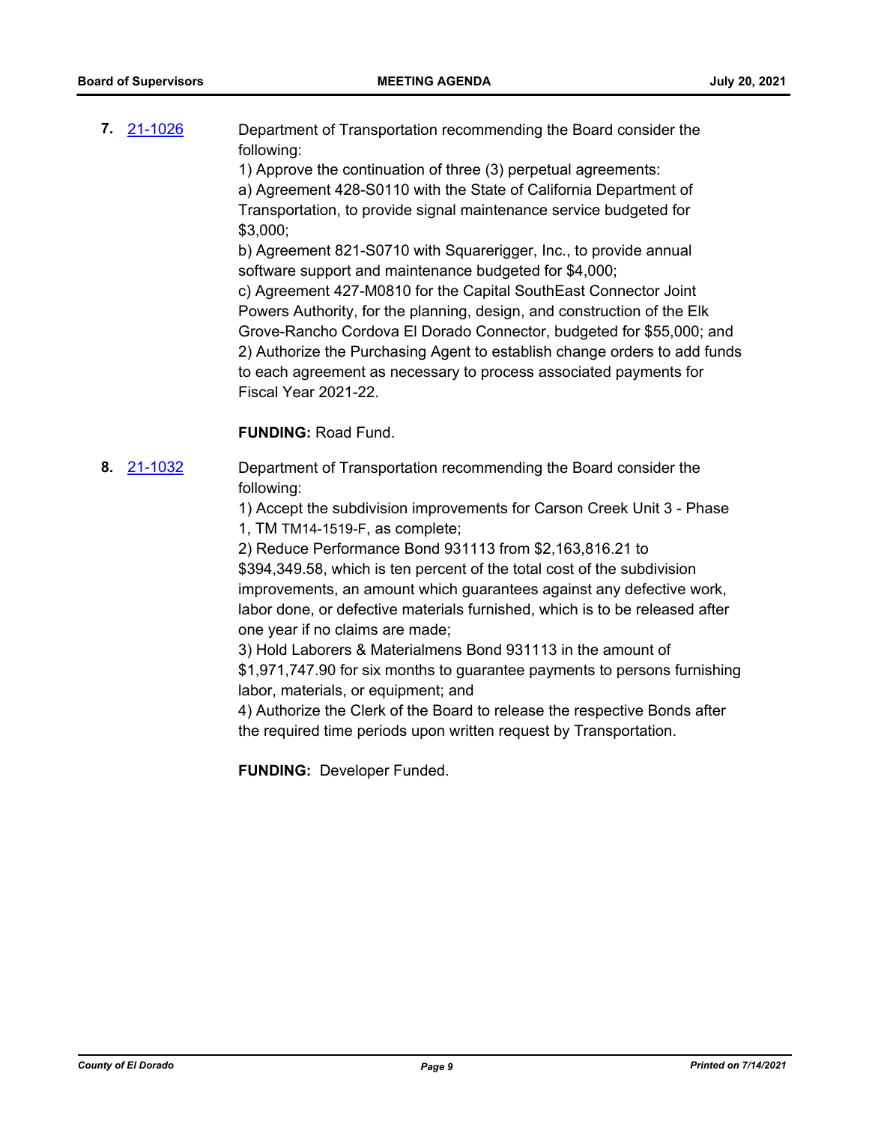**7.** [21-1026](http://eldorado.legistar.com/gateway.aspx?m=l&id=/matter.aspx?key=29920) Department of Transportation recommending the Board consider the following:

1) Approve the continuation of three (3) perpetual agreements:

a) Agreement 428-S0110 with the State of California Department of Transportation, to provide signal maintenance service budgeted for \$3,000;

b) Agreement 821-S0710 with Squarerigger, Inc., to provide annual software support and maintenance budgeted for \$4,000;

c) Agreement 427-M0810 for the Capital SouthEast Connector Joint Powers Authority, for the planning, design, and construction of the Elk Grove-Rancho Cordova El Dorado Connector, budgeted for \$55,000; and 2) Authorize the Purchasing Agent to establish change orders to add funds to each agreement as necessary to process associated payments for Fiscal Year 2021-22.

# **FUNDING:** Road Fund.

**8.** [21-1032](http://eldorado.legistar.com/gateway.aspx?m=l&id=/matter.aspx?key=29926) Department of Transportation recommending the Board consider the following:

> 1) Accept the subdivision improvements for Carson Creek Unit 3 - Phase 1, TM TM14-1519-F, as complete;

> 2) Reduce Performance Bond 931113 from \$2,163,816.21 to \$394,349.58, which is ten percent of the total cost of the subdivision improvements, an amount which guarantees against any defective work, labor done, or defective materials furnished, which is to be released after one year if no claims are made;

3) Hold Laborers & Materialmens Bond 931113 in the amount of \$1,971,747.90 for six months to guarantee payments to persons furnishing labor, materials, or equipment; and

4) Authorize the Clerk of the Board to release the respective Bonds after the required time periods upon written request by Transportation.

**FUNDING:** Developer Funded.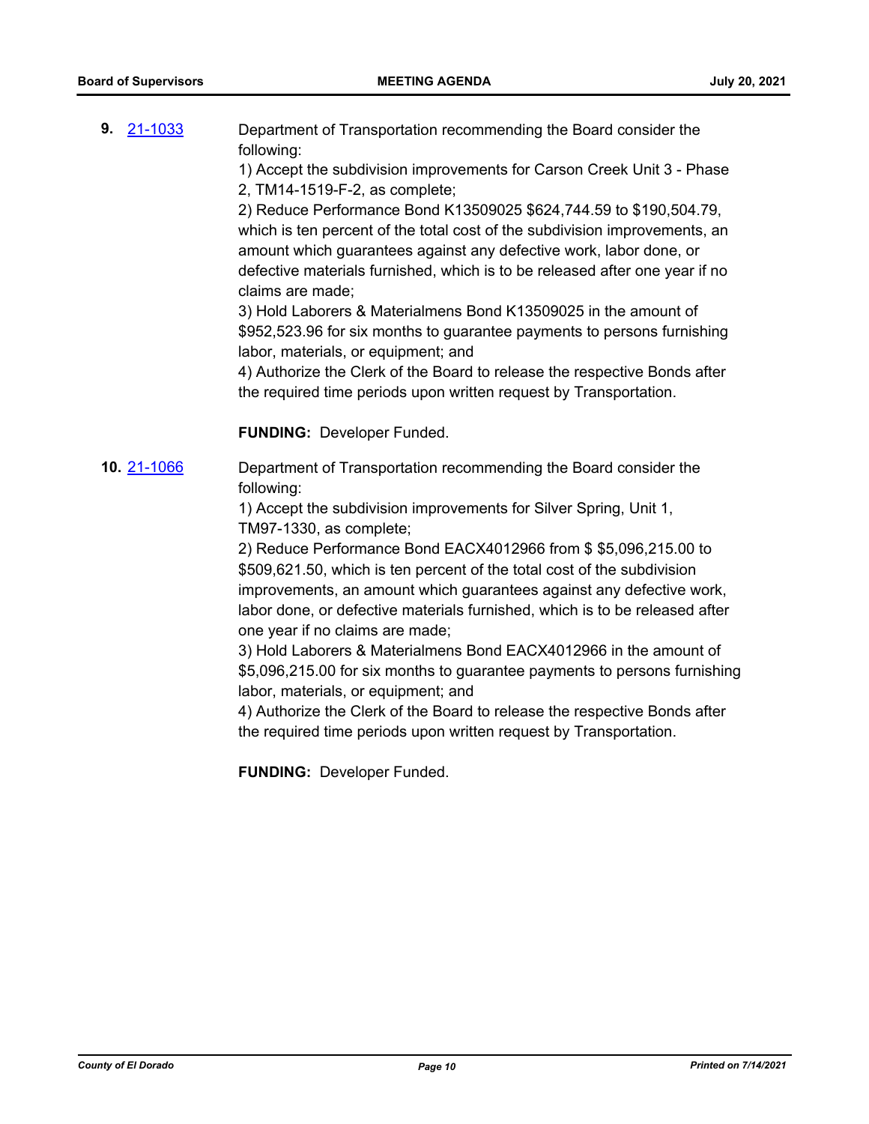**9.** [21-1033](http://eldorado.legistar.com/gateway.aspx?m=l&id=/matter.aspx?key=29927) Department of Transportation recommending the Board consider the following:

> 1) Accept the subdivision improvements for Carson Creek Unit 3 - Phase 2, TM14-1519-F-2, as complete;

> 2) Reduce Performance Bond K13509025 \$624,744.59 to \$190,504.79, which is ten percent of the total cost of the subdivision improvements, an amount which guarantees against any defective work, labor done, or defective materials furnished, which is to be released after one year if no claims are made;

> 3) Hold Laborers & Materialmens Bond K13509025 in the amount of \$952,523.96 for six months to guarantee payments to persons furnishing labor, materials, or equipment; and

> 4) Authorize the Clerk of the Board to release the respective Bonds after the required time periods upon written request by Transportation.

**FUNDING:** Developer Funded.

**10.** [21-1066](http://eldorado.legistar.com/gateway.aspx?m=l&id=/matter.aspx?key=29960) Department of Transportation recommending the Board consider the following:

> 1) Accept the subdivision improvements for Silver Spring, Unit 1, TM97-1330, as complete;

2) Reduce Performance Bond EACX4012966 from \$ \$5,096,215.00 to \$509,621.50, which is ten percent of the total cost of the subdivision improvements, an amount which guarantees against any defective work, labor done, or defective materials furnished, which is to be released after one year if no claims are made;

3) Hold Laborers & Materialmens Bond EACX4012966 in the amount of \$5,096,215.00 for six months to guarantee payments to persons furnishing labor, materials, or equipment; and

4) Authorize the Clerk of the Board to release the respective Bonds after the required time periods upon written request by Transportation.

**FUNDING:** Developer Funded.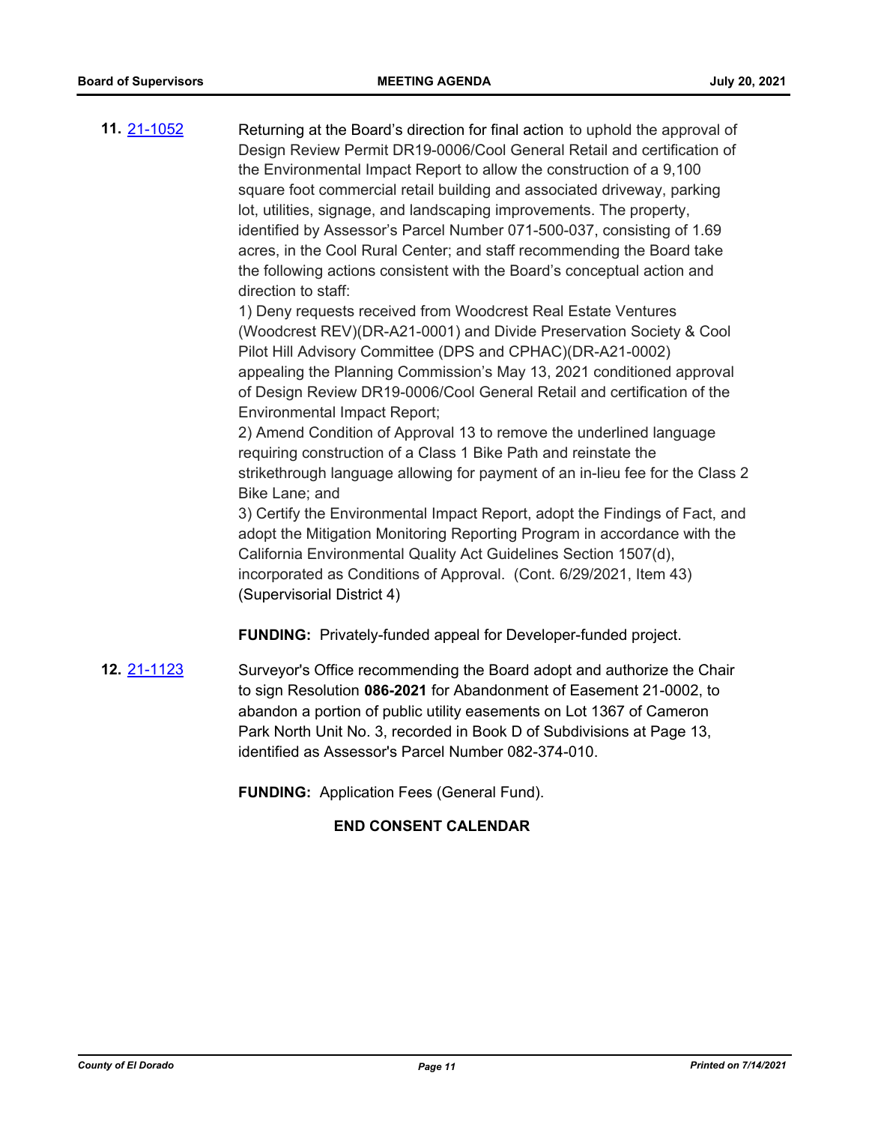**11.** [21-1052](http://eldorado.legistar.com/gateway.aspx?m=l&id=/matter.aspx?key=29946) Returning at the Board's direction for final action to uphold the approval of Design Review Permit DR19-0006/Cool General Retail and certification of the Environmental Impact Report to allow the construction of a 9,100 square foot commercial retail building and associated driveway, parking lot, utilities, signage, and landscaping improvements. The property, identified by Assessor's Parcel Number 071-500-037, consisting of 1.69 acres, in the Cool Rural Center; and staff recommending the Board take the following actions consistent with the Board's conceptual action and direction to staff: 1) Deny requests received from Woodcrest Real Estate Ventures (Woodcrest REV)(DR-A21-0001) and Divide Preservation Society & Cool

Pilot Hill Advisory Committee (DPS and CPHAC)(DR-A21-0002) appealing the Planning Commission's May 13, 2021 conditioned approval of Design Review DR19-0006/Cool General Retail and certification of the Environmental Impact Report;

2) Amend Condition of Approval 13 to remove the underlined language requiring construction of a Class 1 Bike Path and reinstate the strikethrough language allowing for payment of an in-lieu fee for the Class 2 Bike Lane; and

3) Certify the Environmental Impact Report, adopt the Findings of Fact, and adopt the Mitigation Monitoring Reporting Program in accordance with the California Environmental Quality Act Guidelines Section 1507(d), incorporated as Conditions of Approval. (Cont. 6/29/2021, Item 43) (Supervisorial District 4)

**FUNDING:** Privately-funded appeal for Developer-funded project.

**12.** [21-1123](http://eldorado.legistar.com/gateway.aspx?m=l&id=/matter.aspx?key=30018) Surveyor's Office recommending the Board adopt and authorize the Chair to sign Resolution **086-2021** for Abandonment of Easement 21-0002, to abandon a portion of public utility easements on Lot 1367 of Cameron Park North Unit No. 3, recorded in Book D of Subdivisions at Page 13, identified as Assessor's Parcel Number 082-374-010.

**FUNDING:** Application Fees (General Fund).

# **END CONSENT CALENDAR**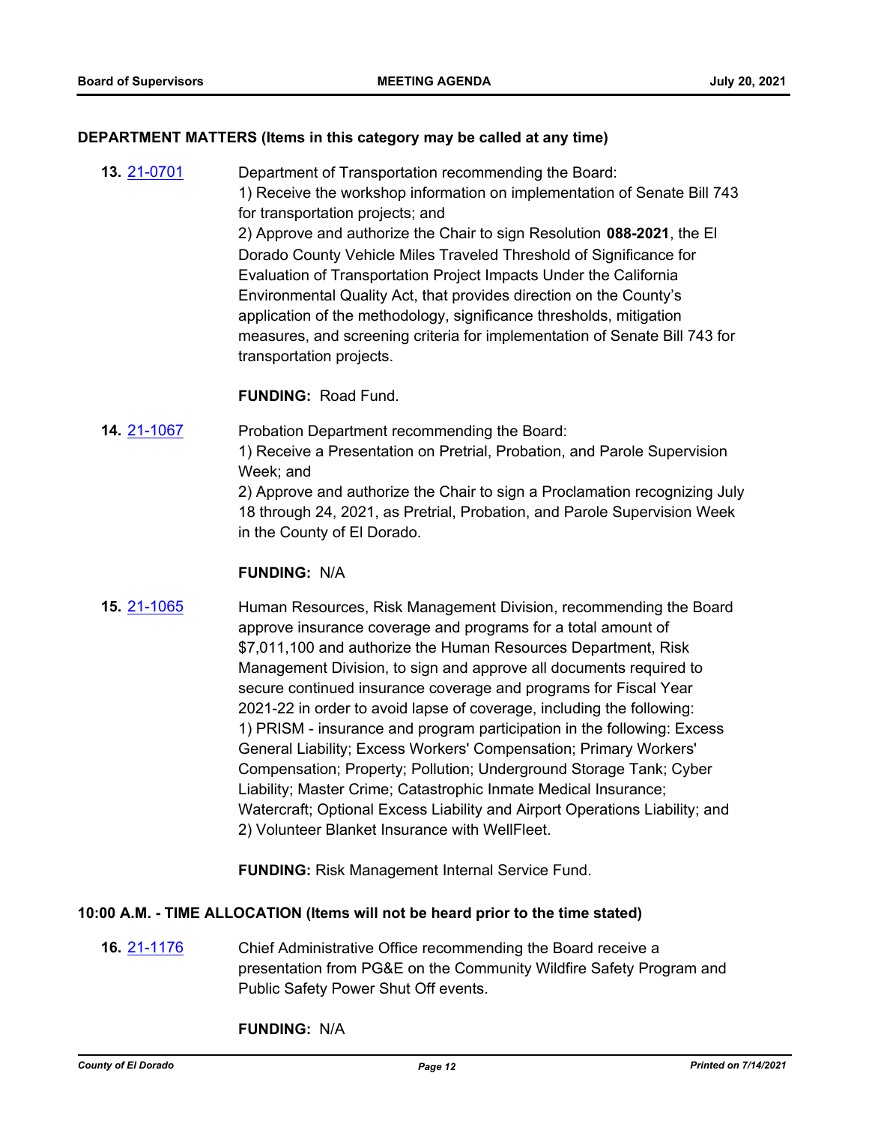#### **DEPARTMENT MATTERS (Items in this category may be called at any time)**

**13.** [21-0701](http://eldorado.legistar.com/gateway.aspx?m=l&id=/matter.aspx?key=29597) Department of Transportation recommending the Board: 1) Receive the workshop information on implementation of Senate Bill 743 for transportation projects; and 2) Approve and authorize the Chair to sign Resolution **088-2021**, the El Dorado County Vehicle Miles Traveled Threshold of Significance for Evaluation of Transportation Project Impacts Under the California Environmental Quality Act, that provides direction on the County's application of the methodology, significance thresholds, mitigation measures, and screening criteria for implementation of Senate Bill 743 for transportation projects.

#### **FUNDING:** Road Fund.

**14.** [21-1067](http://eldorado.legistar.com/gateway.aspx?m=l&id=/matter.aspx?key=29961) Probation Department recommending the Board: 1) Receive a Presentation on Pretrial, Probation, and Parole Supervision Week; and 2) Approve and authorize the Chair to sign a Proclamation recognizing July 18 through 24, 2021, as Pretrial, Probation, and Parole Supervision Week in the County of El Dorado.

#### **FUNDING:** N/A

**15.** [21-1065](http://eldorado.legistar.com/gateway.aspx?m=l&id=/matter.aspx?key=29959) Human Resources, Risk Management Division, recommending the Board approve insurance coverage and programs for a total amount of \$7,011,100 and authorize the Human Resources Department, Risk Management Division, to sign and approve all documents required to secure continued insurance coverage and programs for Fiscal Year 2021-22 in order to avoid lapse of coverage, including the following: 1) PRISM - insurance and program participation in the following: Excess General Liability; Excess Workers' Compensation; Primary Workers' Compensation; Property; Pollution; Underground Storage Tank; Cyber Liability; Master Crime; Catastrophic Inmate Medical Insurance; Watercraft; Optional Excess Liability and Airport Operations Liability; and 2) Volunteer Blanket Insurance with WellFleet.

**FUNDING:** Risk Management Internal Service Fund.

# **10:00 A.M. - TIME ALLOCATION (Items will not be heard prior to the time stated)**

**16.** [21-1176](http://eldorado.legistar.com/gateway.aspx?m=l&id=/matter.aspx?key=30071) Chief Administrative Office recommending the Board receive a presentation from PG&E on the Community Wildfire Safety Program and Public Safety Power Shut Off events.

**FUNDING:** N/A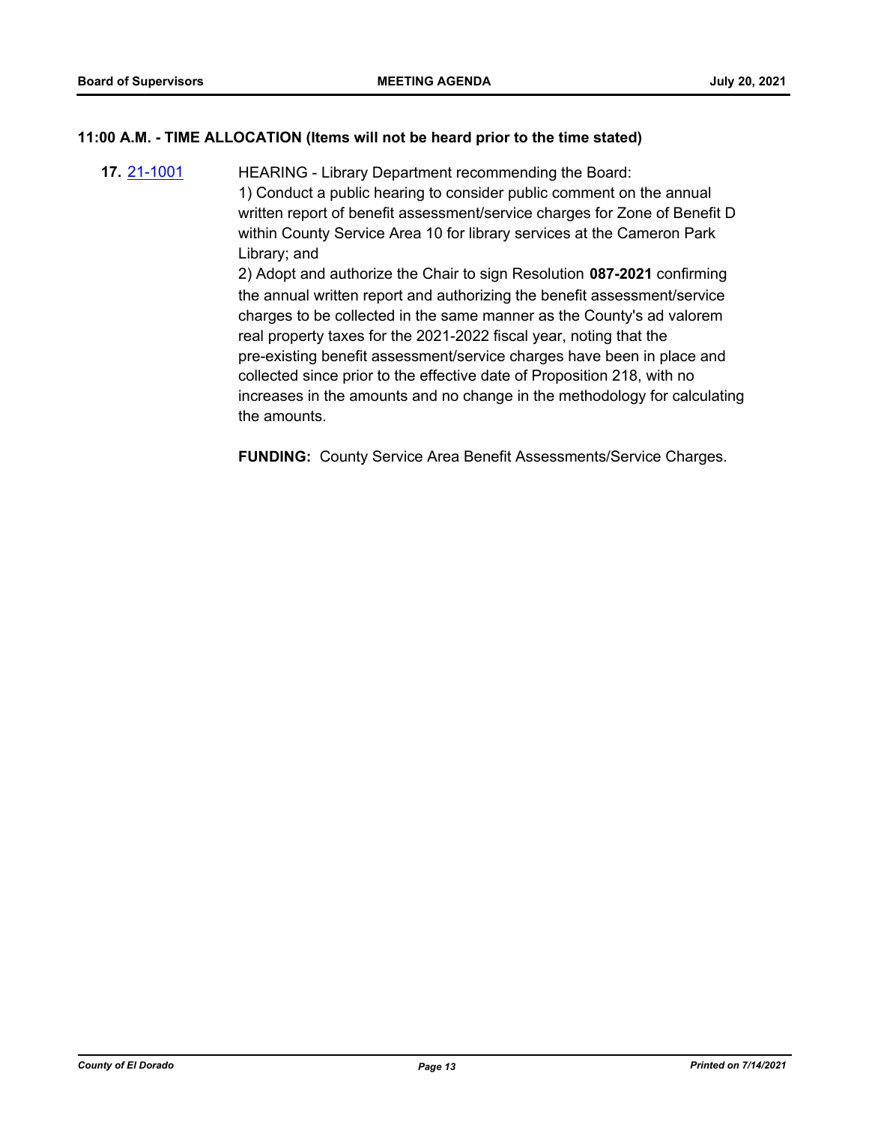# **11:00 A.M. - TIME ALLOCATION (Items will not be heard prior to the time stated)**

**17.** [21-1001](http://eldorado.legistar.com/gateway.aspx?m=l&id=/matter.aspx?key=29895) HEARING - Library Department recommending the Board: 1) Conduct a public hearing to consider public comment on the annual written report of benefit assessment/service charges for Zone of Benefit D within County Service Area 10 for library services at the Cameron Park Library; and 2) Adopt and authorize the Chair to sign Resolution **087-2021** confirming the annual written report and authorizing the benefit assessment/service charges to be collected in the same manner as the County's ad valorem real property taxes for the 2021-2022 fiscal year, noting that the pre-existing benefit assessment/service charges have been in place and collected since prior to the effective date of Proposition 218, with no increases in the amounts and no change in the methodology for calculating the amounts.

**FUNDING:** County Service Area Benefit Assessments/Service Charges.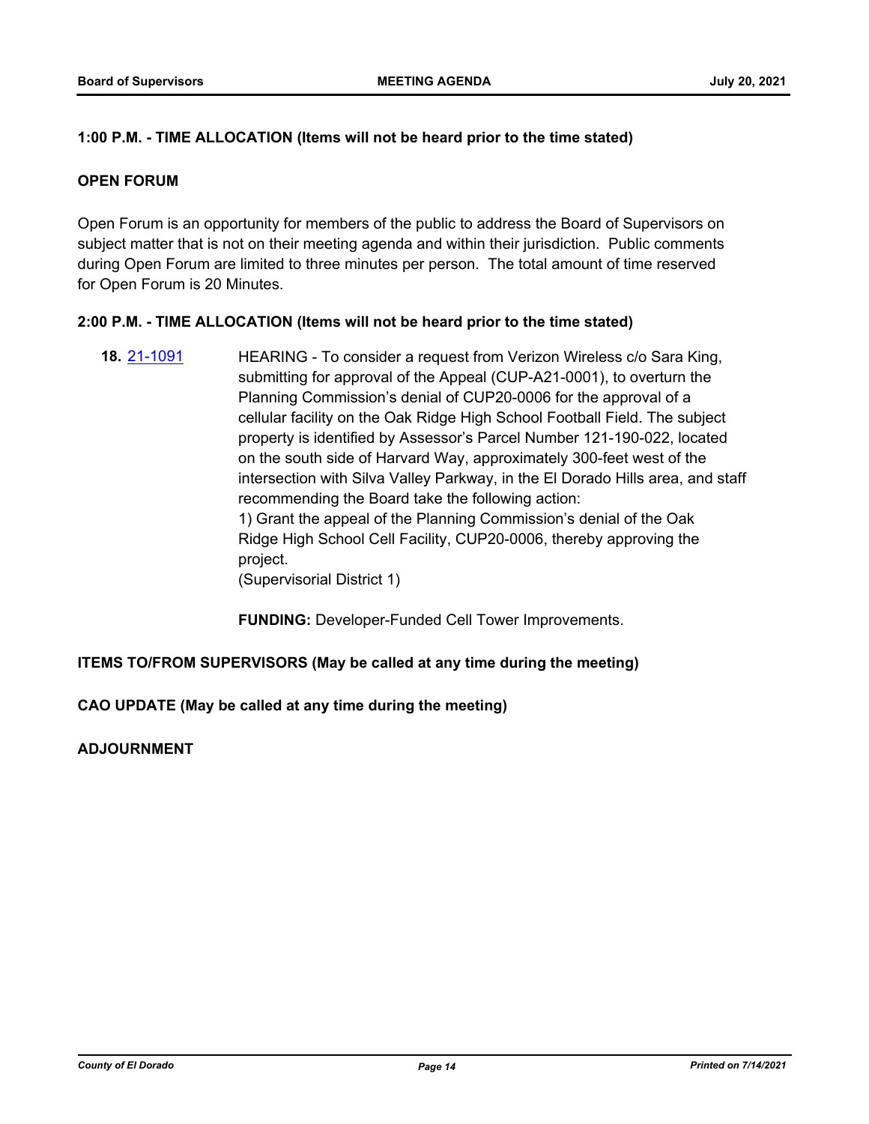# **1:00 P.M. - TIME ALLOCATION (Items will not be heard prior to the time stated)**

#### **OPEN FORUM**

Open Forum is an opportunity for members of the public to address the Board of Supervisors on subject matter that is not on their meeting agenda and within their jurisdiction. Public comments during Open Forum are limited to three minutes per person. The total amount of time reserved for Open Forum is 20 Minutes.

#### **2:00 P.M. - TIME ALLOCATION (Items will not be heard prior to the time stated)**

**18.** [21-1091](http://eldorado.legistar.com/gateway.aspx?m=l&id=/matter.aspx?key=29985) HEARING - To consider a request from Verizon Wireless c/o Sara King, submitting for approval of the Appeal (CUP-A21-0001), to overturn the Planning Commission's denial of CUP20-0006 for the approval of a cellular facility on the Oak Ridge High School Football Field. The subject property is identified by Assessor's Parcel Number 121-190-022, located on the south side of Harvard Way, approximately 300-feet west of the intersection with Silva Valley Parkway, in the El Dorado Hills area, and staff recommending the Board take the following action: 1) Grant the appeal of the Planning Commission's denial of the Oak Ridge High School Cell Facility, CUP20-0006, thereby approving the project. (Supervisorial District 1)

**FUNDING:** Developer-Funded Cell Tower Improvements.

# **ITEMS TO/FROM SUPERVISORS (May be called at any time during the meeting)**

**CAO UPDATE (May be called at any time during the meeting)**

**ADJOURNMENT**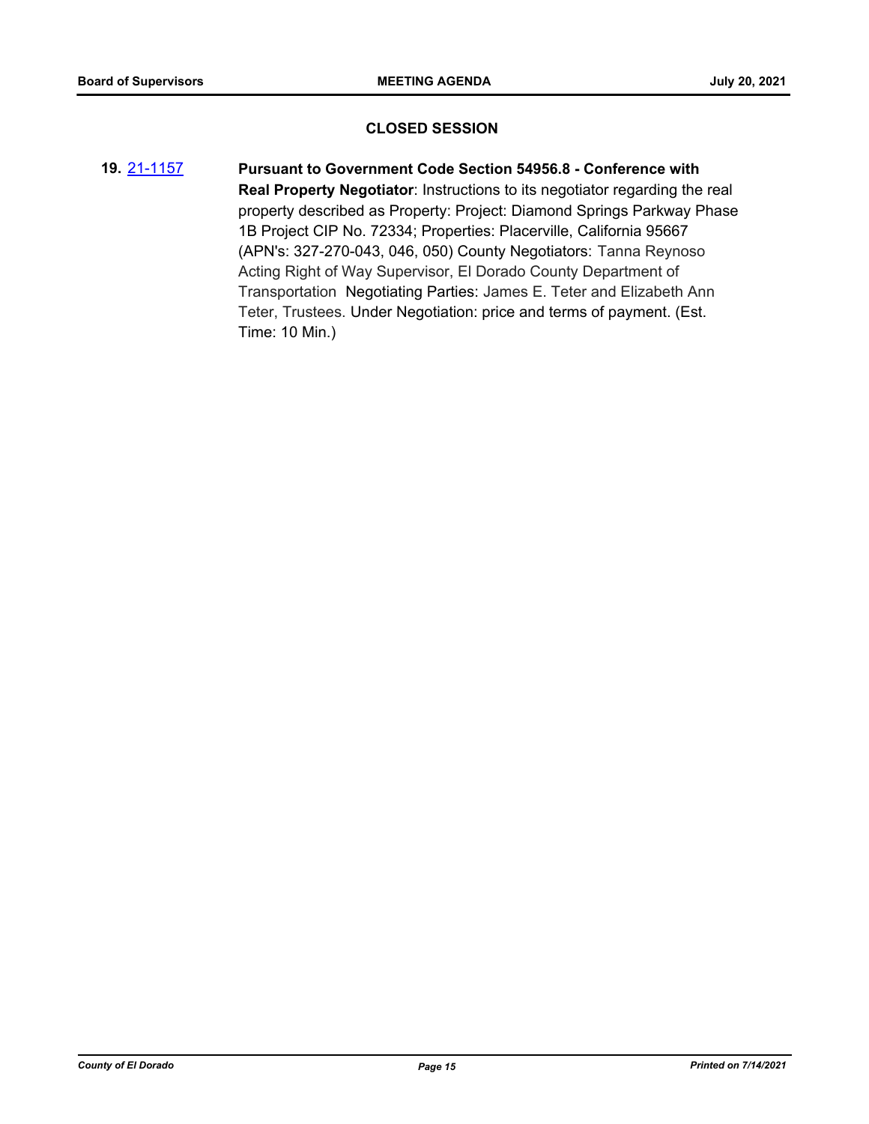#### **CLOSED SESSION**

**19.** [21-1157](http://eldorado.legistar.com/gateway.aspx?m=l&id=/matter.aspx?key=30052) **Pursuant to Government Code Section 54956.8 - Conference with Real Property Negotiator**: Instructions to its negotiator regarding the real property described as Property: Project: Diamond Springs Parkway Phase 1B Project CIP No. 72334; Properties: Placerville, California 95667 (APN's: 327-270-043, 046, 050) County Negotiators: Tanna Reynoso Acting Right of Way Supervisor, El Dorado County Department of Transportation Negotiating Parties: James E. Teter and Elizabeth Ann Teter, Trustees. Under Negotiation: price and terms of payment. (Est. Time: 10 Min.)